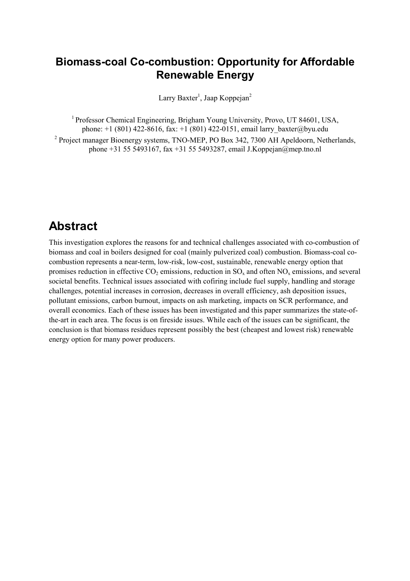### **Biomass-coal Co-combustion: Opportunity for Affordable Renewable Energy**

Larry Baxter<sup>1</sup>, Jaap Koppejan<sup>2</sup>

<sup>1</sup> Professor Chemical Engineering, Brigham Young University, Provo, UT 84601, USA, phone:  $+1$  (801) 422-8616, fax:  $+1$  (801) 422-0151, email larry baxter@byu.edu

<sup>2</sup> Project manager Bioenergy systems, TNO-MEP, PO Box 342, 7300 AH Apeldoorn, Netherlands, phone +31 55 5493167, fax +31 55 5493287, email J.Koppejan@mep.tno.nl

## **Abstract**

This investigation explores the reasons for and technical challenges associated with co-combustion of biomass and coal in boilers designed for coal (mainly pulverized coal) combustion. Biomass-coal cocombustion represents a near-term, low-risk, low-cost, sustainable, renewable energy option that promises reduction in effective  $CO<sub>2</sub>$  emissions, reduction in  $SO<sub>x</sub>$  and often  $NO<sub>x</sub>$  emissions, and several societal benefits. Technical issues associated with cofiring include fuel supply, handling and storage challenges, potential increases in corrosion, decreases in overall efficiency, ash deposition issues, pollutant emissions, carbon burnout, impacts on ash marketing, impacts on SCR performance, and overall economics. Each of these issues has been investigated and this paper summarizes the state-ofthe-art in each area. The focus is on fireside issues. While each of the issues can be significant, the conclusion is that biomass residues represent possibly the best (cheapest and lowest risk) renewable energy option for many power producers.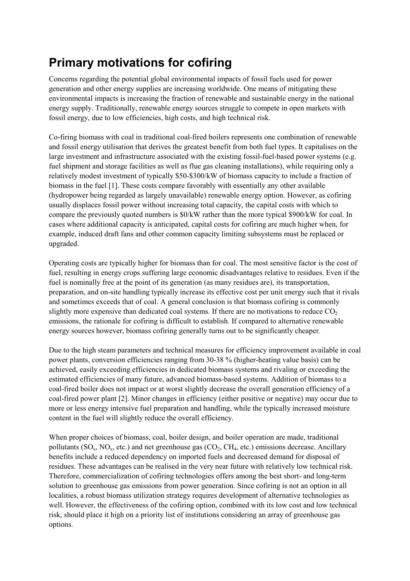# **Primary motivations for cofiring**

Concerns regarding the potential global environmental impacts of fossil fuels used for power generation and other energy supplies are increasing worldwide. One means of mitigating these environmental impacts is increasing the fraction of renewable and sustainable energy in the national energy supply. Traditionally, renewable energy sources struggle to compete in open markets with fossil energy, due to low efficiencies, high costs, and high technical risk.

Co-firing biomass with coal in traditional coal-fired boilers represents one combination of renewable and fossil energy utilisation that derives the greatest benefit from both fuel types. It capitalises on the large investment and infrastructure associated with the existing fossil-fuel-based power systems (e.g. fuel shipment and storage facilities as well as flue gas cleaning installations), while requiring only a relatively modest investment of typically \$50-\$300/kW of biomass capacity to include a fraction of biomass in the fuel [\[1\]](#page-10-0). These costs compare favorably with essentially any other available (hydropower being regarded as largely unavailable) renewable energy option. However, as cofiring usually displaces fossil power without increasing total capacity, the capital costs with which to compare the previously quoted numbers is \$0/kW rather than the more typical \$900/kW for coal. In cases where additional capacity is anticipated, capital costs for cofiring are much higher when, for example, induced draft fans and other common capacity limiting subsystems must be replaced or upgraded.

Operating costs are typically higher for biomass than for coal. The most sensitive factor is the cost of fuel, resulting in energy crops suffering large economic disadvantages relative to residues. Even if the fuel is nominally free at the point of its generation (as many residues are), its transportation, preparation, and on-site handling typically increase its effective cost per unit energy such that it rivals and sometimes exceeds that of coal. A general conclusion is that biomass cofiring is commonly slightly more expensive than dedicated coal systems. If there are no motivations to reduce  $CO<sub>2</sub>$ emissions, the rationale for cofiring is difficult to establish. If compared to alternative renewable energy sources however, biomass cofiring generally turns out to be significantly cheaper.

Due to the high steam parameters and technical measures for efficiency improvement available in coal power plants, conversion efficiencies ranging from 30-38 % (higher-heating value basis) can be achieved, easily exceeding efficiencies in dedicated biomass systems and rivaling or exceeding the estimated efficiencies of many future, advanced biomass-based systems. Addition of biomass to a coal-fired boiler does not impact or at worst slightly decrease the overall generation efficiency of a coal-fired power plant [[2\]](#page-10-0). Minor changes in efficiency (either positive or negative) may occur due to more or less energy intensive fuel preparation and handling, while the typically increased moisture content in the fuel will slightly reduce the overall efficiency.

When proper choices of biomass, coal, boiler design, and boiler operation are made, traditional pollutants  $(SO_x, NO_x, etc.)$  and net greenhouse gas  $(CO_2, CH_4, etc.)$  emissions decrease. Ancillary benefits include a reduced dependency on imported fuels and decreased demand for disposal of residues. These advantages can be realised in the very near future with relatively low technical risk. Therefore, commercialization of cofiring technologies offers among the best short- and long-term solution to greenhouse gas emissions from power generation. Since cofiring is not an option in all localities, a robust biomass utilization strategy requires development of alternative technologies as well. However, the effectiveness of the cofiring option, combined with its low cost and low technical risk, should place it high on a priority list of institutions considering an array of greenhouse gas options.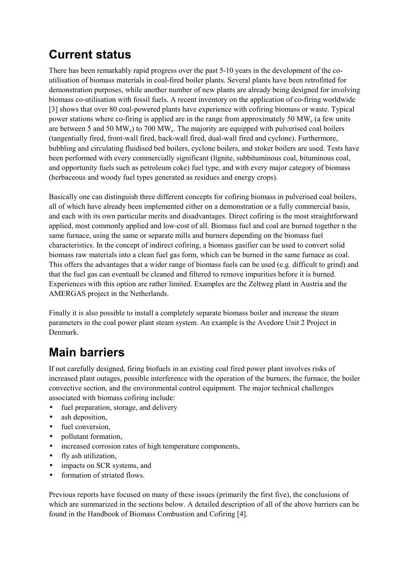# **Current status**

There has been remarkably rapid progress over the past 5-10 years in the development of the coutilisation of biomass materials in coal-fired boiler plants. Several plants have been retrofitted for demonstration purposes, while another number of new plants are already being designed for involving biomass co-utilisation with fossil fuels. A recent inventory on the application of co-firing worldwide [[3\]](#page-10-0) shows that over 80 coal-powered plants have experience with cofiring biomass or waste. Typical power stations where co-firing is applied are in the range from approximately 50  $\text{MW}_e$  (a few units are between 5 and 50 MW<sub>e</sub>) to 700 MW<sub>e</sub>. The majority are equipped with pulverised coal boilers (tangentially fired, front-wall fired, back-wall fired, dual-wall fired and cyclone). Furthermore, bubbling and circulating fluidised bed boilers, cyclone boilers, and stoker boilers are used. Tests have been performed with every commercially significant (lignite, subbituminous coal, bituminous coal, and opportunity fuels such as petroleum coke) fuel type, and with every major category of biomass (herbaceous and woody fuel types generated as residues and energy crops).

Basically one can distinguish three different concepts for cofiring biomass in pulverised coal boilers, all of which have already been implemented either on a demonstration or a fully commercial basis, and each with its own particular merits and disadvantages. Direct cofiring is the most straightforward applied, most commonly applied and low-cost of all. Biomass fuel and coal are burned together n the same furnace, using the same or separate mills and burners depending on the biomass fuel characteristics. In the concept of indirect cofiring, a biomass gasifier can be used to convert solid biomass raw materials into a clean fuel gas form, which can be burned in the same furnace as coal. This offers the advantages that a wider range of biomass fuels can be used (e.g. difficult to grind) and that the fuel gas can eventuall be cleaned and filtered to remove impurities before it is burned. Experiences with this option are rather limited. Examples are the Zeltweg plant in Austria and the AMERGAS project in the Netherlands.

Finally it is also possible to install a completely separate biomass boiler and increase the steam parameters in the coal power plant steam system. An example is the Avedore Unit 2 Project in Denmark.

# **Main barriers**

If not carefully designed, firing biofuels in an existing coal fired power plant involves risks of increased plant outages, possible interference with the operation of the burners, the furnace, the boiler convective section, and the environmental control equipment. The major technical challenges associated with biomass cofiring include:

- fuel preparation, storage, and delivery
- ash deposition,
- fuel conversion,
- pollutant formation,
- increased corrosion rates of high temperature components,
- fly ash utilization,
- impacts on SCR systems, and
- formation of striated flows.

Previous reports have focused on many of these issues (primarily the first five), the conclusions of which are summarized in the sections below. A detailed description of all of the above barriers can be found in the Handbook of Biomass Combustion and Cofiring [[4\]](#page-10-0).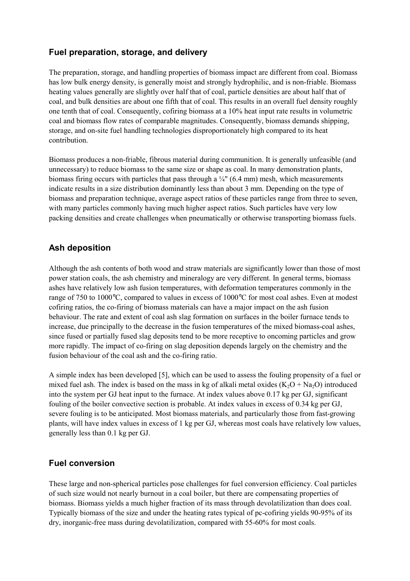#### **Fuel preparation, storage, and delivery**

The preparation, storage, and handling properties of biomass impact are different from coal. Biomass has low bulk energy density, is generally moist and strongly hydrophilic, and is non-friable. Biomass heating values generally are slightly over half that of coal, particle densities are about half that of coal, and bulk densities are about one fifth that of coal. This results in an overall fuel density roughly one tenth that of coal. Consequently, cofiring biomass at a 10% heat input rate results in volumetric coal and biomass flow rates of comparable magnitudes. Consequently, biomass demands shipping, storage, and on-site fuel handling technologies disproportionately high compared to its heat contribution.

Biomass produces a non-friable, fibrous material during communition. It is generally unfeasible (and unnecessary) to reduce biomass to the same size or shape as coal. In many demonstration plants, biomass firing occurs with particles that pass through a  $\frac{1}{4}$ " (6.4 mm) mesh, which measurements indicate results in a size distribution dominantly less than about 3 mm. Depending on the type of biomass and preparation technique, average aspect ratios of these particles range from three to seven, with many particles commonly having much higher aspect ratios. Such particles have very low packing densities and create challenges when pneumatically or otherwise transporting biomass fuels.

#### **Ash deposition**

Although the ash contents of both wood and straw materials are significantly lower than those of most power station coals, the ash chemistry and mineralogy are very different. In general terms, biomass ashes have relatively low ash fusion temperatures, with deformation temperatures commonly in the range of 750 to 1000°C, compared to values in excess of 1000°C for most coal ashes. Even at modest cofiring ratios, the co-firing of biomass materials can have a major impact on the ash fusion behaviour. The rate and extent of coal ash slag formation on surfaces in the boiler furnace tends to increase, due principally to the decrease in the fusion temperatures of the mixed biomass-coal ashes, since fused or partially fused slag deposits tend to be more receptive to oncoming particles and grow more rapidly. The impact of co-firing on slag deposition depends largely on the chemistry and the fusion behaviour of the coal ash and the co-firing ratio.

A simple index has been developed [[5\]](#page-10-0), which can be used to assess the fouling propensity of a fuel or mixed fuel ash. The index is based on the mass in kg of alkali metal oxides  $(K_2O + Na_2O)$  introduced into the system per GJ heat input to the furnace. At index values above 0.17 kg per GJ, significant fouling of the boiler convective section is probable. At index values in excess of 0.34 kg per GJ, severe fouling is to be anticipated. Most biomass materials, and particularly those from fast-growing plants, will have index values in excess of 1 kg per GJ, whereas most coals have relatively low values, generally less than 0.1 kg per GJ.

#### **Fuel conversion**

These large and non-spherical particles pose challenges for fuel conversion efficiency. Coal particles of such size would not nearly burnout in a coal boiler, but there are compensating properties of biomass. Biomass yields a much higher fraction of its mass through devolatilization than does coal. Typically biomass of the size and under the heating rates typical of pc-cofiring yields 90-95% of its dry, inorganic-free mass during devolatilization, compared with 55-60% for most coals.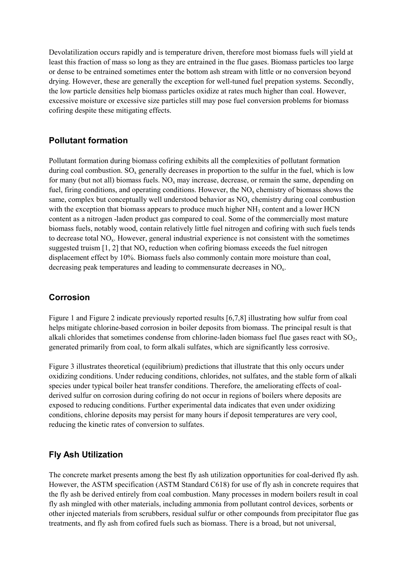Devolatilization occurs rapidly and is temperature driven, therefore most biomass fuels will yield at least this fraction of mass so long as they are entrained in the flue gases. Biomass particles too large or dense to be entrained sometimes enter the bottom ash stream with little or no conversion beyond drying. However, these are generally the exception for well-tuned fuel prepation systems. Secondly, the low particle densities help biomass particles oxidize at rates much higher than coal. However, excessive moisture or excessive size particles still may pose fuel conversion problems for biomass cofiring despite these mitigating effects.

#### **Pollutant formation**

Pollutant formation during biomass cofiring exhibits all the complexities of pollutant formation during coal combustion.  $SO_x$  generally decreases in proportion to the sulfur in the fuel, which is low for many (but not all) biomass fuels.  $NO_x$  may increase, decrease, or remain the same, depending on fuel, firing conditions, and operating conditions. However, the  $NO<sub>x</sub>$  chemistry of biomass shows the same, complex but conceptually well understood behavior as  $NO<sub>x</sub>$  chemistry during coal combustion with the exception that biomass appears to produce much higher NH<sub>3</sub> content and a lower HCN content as a nitrogen -laden product gas compared to coal. Some of the commercially most mature biomass fuels, notably wood, contain relatively little fuel nitrogen and cofiring with such fuels tends to decrease total NOx. However, general industrial experience is not consistent with the sometimes suggested truism  $[1, 2]$  that  $NO<sub>x</sub>$  reduction when cofiring biomass exceeds the fuel nitrogen displacement effect by 10%. Biomass fuels also commonly contain more moisture than coal, decreasing peak temperatures and leading to commensurate decreases in NOx.

#### **Corrosion**

[Figure 1](#page-7-0) and [Figure 2](#page-7-0) indicate previously reported results [6,7,8] illustrating how sulfur from coal helps mitigate chlorine-based corrosion in boiler deposits from biomass. The principal result is that alkali chlorides that sometimes condense from chlorine-laden biomass fuel flue gases react with  $SO<sub>2</sub>$ , generated primarily from coal, to form alkali sulfates, which are significantly less corrosive.

[Figure 3](#page-8-0) illustrates theoretical (equilibrium) predictions that illustrate that this only occurs under oxidizing conditions. Under reducing conditions, chlorides, not sulfates, and the stable form of alkali species under typical boiler heat transfer conditions. Therefore, the ameliorating effects of coalderived sulfur on corrosion during cofiring do not occur in regions of boilers where deposits are exposed to reducing conditions. Further experimental data indicates that even under oxidizing conditions, chlorine deposits may persist for many hours if deposit temperatures are very cool, reducing the kinetic rates of conversion to sulfates.

#### **Fly Ash Utilization**

The concrete market presents among the best fly ash utilization opportunities for coal-derived fly ash. However, the ASTM specification (ASTM Standard C618) for use of fly ash in concrete requires that the fly ash be derived entirely from coal combustion. Many processes in modern boilers result in coal fly ash mingled with other materials, including ammonia from pollutant control devices, sorbents or other injected materials from scrubbers, residual sulfur or other compounds from precipitator flue gas treatments, and fly ash from cofired fuels such as biomass. There is a broad, but not universal,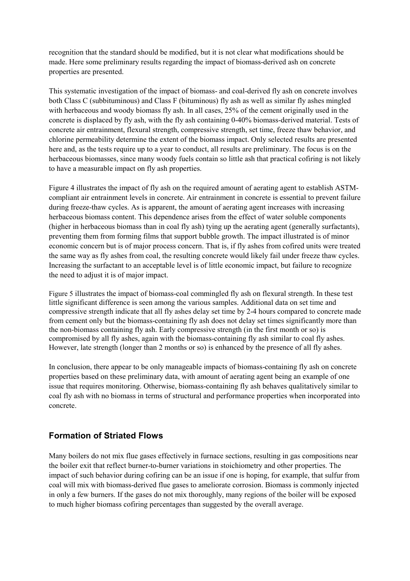recognition that the standard should be modified, but it is not clear what modifications should be made. Here some preliminary results regarding the impact of biomass-derived ash on concrete properties are presented.

This systematic investigation of the impact of biomass- and coal-derived fly ash on concrete involves both Class C (subbituminous) and Class F (bituminous) fly ash as well as similar fly ashes mingled with herbaceous and woody biomass fly ash. In all cases, 25% of the cement originally used in the concrete is displaced by fly ash, with the fly ash containing 0-40% biomass-derived material. Tests of concrete air entrainment, flexural strength, compressive strength, set time, freeze thaw behavior, and chlorine permeability determine the extent of the biomass impact. Only selected results are presented here and, as the tests require up to a year to conduct, all results are preliminary. The focus is on the herbaceous biomasses, since many woody fuels contain so little ash that practical cofiring is not likely to have a measurable impact on fly ash properties.

[Figure 4](#page-8-0) illustrates the impact of fly ash on the required amount of aerating agent to establish ASTMcompliant air entrainment levels in concrete. Air entrainment in concrete is essential to prevent failure during freeze-thaw cycles. As is apparent, the amount of aerating agent increases with increasing herbaceous biomass content. This dependence arises from the effect of water soluble components (higher in herbaceous biomass than in coal fly ash) tying up the aerating agent (generally surfactants), preventing them from forming films that support bubble growth. The impact illustrated is of minor economic concern but is of major process concern. That is, if fly ashes from cofired units were treated the same way as fly ashes from coal, the resulting concrete would likely fail under freeze thaw cycles. Increasing the surfactant to an acceptable level is of little economic impact, but failure to recognize the need to adjust it is of major impact.

[Figure 5](#page-9-0) illustrates the impact of biomass-coal commingled fly ash on flexural strength. In these test little significant difference is seen among the various samples. Additional data on set time and compressive strength indicate that all fly ashes delay set time by 2-4 hours compared to concrete made from cement only but the biomass-containing fly ash does not delay set times significantly more than the non-biomass containing fly ash. Early compressive strength (in the first month or so) is compromised by all fly ashes, again with the biomass-containing fly ash similar to coal fly ashes. However, late strength (longer than 2 months or so) is enhanced by the presence of all fly ashes.

In conclusion, there appear to be only manageable impacts of biomass-containing fly ash on concrete properties based on these preliminary data, with amount of aerating agent being an example of one issue that requires monitoring. Otherwise, biomass-containing fly ash behaves qualitatively similar to coal fly ash with no biomass in terms of structural and performance properties when incorporated into concrete.

#### **Formation of Striated Flows**

Many boilers do not mix flue gases effectively in furnace sections, resulting in gas compositions near the boiler exit that reflect burner-to-burner variations in stoichiometry and other properties. The impact of such behavior during cofiring can be an issue if one is hoping, for example, that sulfur from coal will mix with biomass-derived flue gases to ameliorate corrosion. Biomass is commonly injected in only a few burners. If the gases do not mix thoroughly, many regions of the boiler will be exposed to much higher biomass cofiring percentages than suggested by the overall average.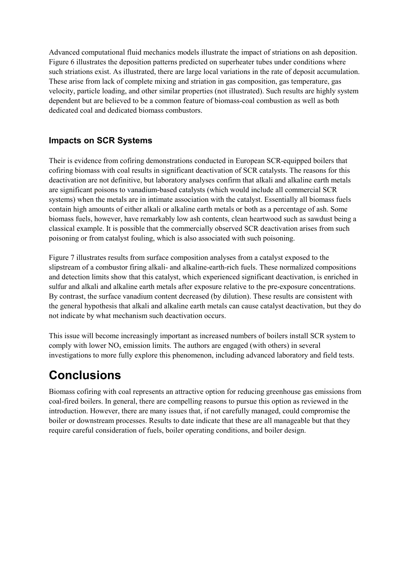Advanced computational fluid mechanics models illustrate the impact of striations on ash deposition. [Figure 6](#page-9-0) illustrates the deposition patterns predicted on superheater tubes under conditions where such striations exist. As illustrated, there are large local variations in the rate of deposit accumulation. These arise from lack of complete mixing and striation in gas composition, gas temperature, gas velocity, particle loading, and other similar properties (not illustrated). Such results are highly system dependent but are believed to be a common feature of biomass-coal combustion as well as both dedicated coal and dedicated biomass combustors.

#### **Impacts on SCR Systems**

Their is evidence from cofiring demonstrations conducted in European SCR-equipped boilers that cofiring biomass with coal results in significant deactivation of SCR catalysts. The reasons for this deactivation are not definitive, but laboratory analyses confirm that alkali and alkaline earth metals are significant poisons to vanadium-based catalysts (which would include all commercial SCR systems) when the metals are in intimate association with the catalyst. Essentially all biomass fuels contain high amounts of either alkali or alkaline earth metals or both as a percentage of ash. Some biomass fuels, however, have remarkably low ash contents, clean heartwood such as sawdust being a classical example. It is possible that the commercially observed SCR deactivation arises from such poisoning or from catalyst fouling, which is also associated with such poisoning.

[Figure 7](#page-10-0) illustrates results from surface composition analyses from a catalyst exposed to the slipstream of a combustor firing alkali- and alkaline-earth-rich fuels. These normalized compositions and detection limits show that this catalyst, which experienced significant deactivation, is enriched in sulfur and alkali and alkaline earth metals after exposure relative to the pre-exposure concentrations. By contrast, the surface vanadium content decreased (by dilution). These results are consistent with the general hypothesis that alkali and alkaline earth metals can cause catalyst deactivation, but they do not indicate by what mechanism such deactivation occurs.

This issue will become increasingly important as increased numbers of boilers install SCR system to comply with lower  $NO<sub>x</sub>$  emission limits. The authors are engaged (with others) in several investigations to more fully explore this phenomenon, including advanced laboratory and field tests.

# **Conclusions**

Biomass cofiring with coal represents an attractive option for reducing greenhouse gas emissions from coal-fired boilers. In general, there are compelling reasons to pursue this option as reviewed in the introduction. However, there are many issues that, if not carefully managed, could compromise the boiler or downstream processes. Results to date indicate that these are all manageable but that they require careful consideration of fuels, boiler operating conditions, and boiler design.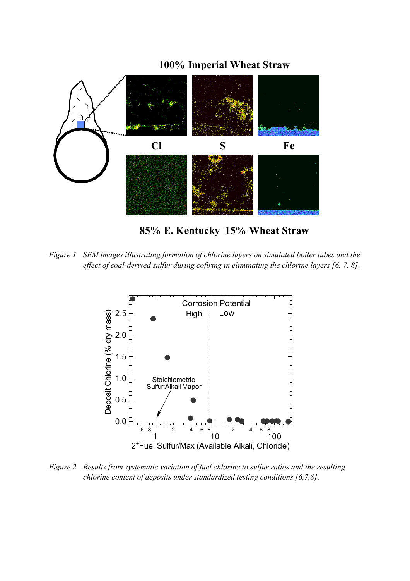#### **100% Imperial Wheat Straw**

<span id="page-7-0"></span>

**85% E. Kentucky 15% Wheat Straw**

*Figure 1 SEM images illustrating formation of chlorine layers on simulated boiler tubes and the effect of coal-derived sulfur during cofiring in eliminating the chlorine layers [[6,](#page-10-0) [7,](#page-11-0) [8\]](#page-11-0).* 



*Figure 2 Results from systematic variation of fuel chlorine to sulfur ratios and the resulting chlorine content of deposits under standardized testing conditions [6,7,8].*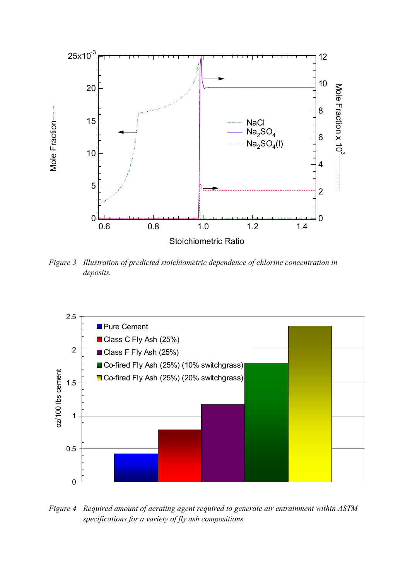<span id="page-8-0"></span>

*Figure 3 Illustration of predicted stoichiometric dependence of chlorine concentration in deposits.* 



*Figure 4 Required amount of aerating agent required to generate air entrainment within ASTM specifications for a variety of fly ash compositions.*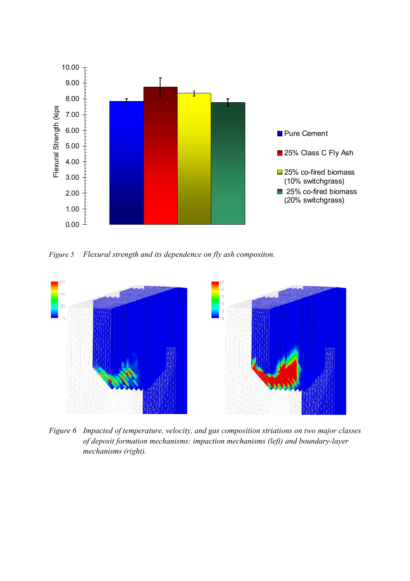<span id="page-9-0"></span>

*Figure 5 Flexural strength and its dependence on fly ash compositon.* 



*Figure 6 Impacted of temperature, velocity, and gas composition striations on two major classes of deposit formation mechanisms: impaction mechanisms (left) and boundary-layer mechanisms (right).*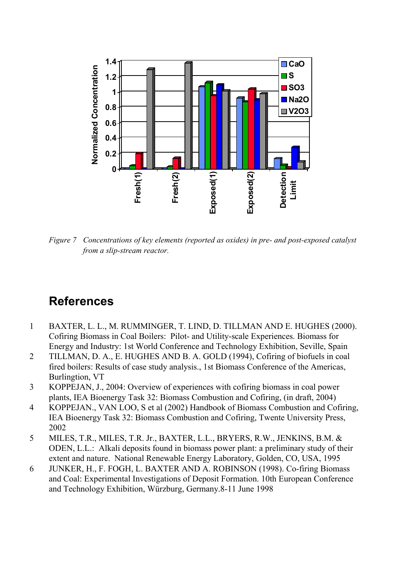<span id="page-10-0"></span>

*Figure 7 Concentrations of key elements (reported as oxides) in pre- and post-exposed catalyst from a slip-stream reactor.* 

### **References**

- 1 BAXTER, L. L., M. RUMMINGER, T. LIND, D. TILLMAN AND E. HUGHES (2000). Cofiring Biomass in Coal Boilers: Pilot- and Utility-scale Experiences. Biomass for Energy and Industry: 1st World Conference and Technology Exhibition, Seville, Spain
- 2 TILLMAN, D. A., E. HUGHES AND B. A. GOLD (1994), Cofiring of biofuels in coal fired boilers: Results of case study analysis., 1st Biomass Conference of the Americas, Burlingtion, VT
- 3 KOPPEJAN, J., 2004: Overview of experiences with cofiring biomass in coal power plants, IEA Bioenergy Task 32: Biomass Combustion and Cofiring, (in draft, 2004)
- 4 KOPPEJAN., VAN LOO, S et al (2002) Handbook of Biomass Combustion and Cofiring, IEA Bioenergy Task 32: Biomass Combustion and Cofiring, Twente University Press, 2002
- 5 MILES, T.R., MILES, T.R. Jr., BAXTER, L.L., BRYERS, R.W., JENKINS, B.M. & ODEN, L.L.: Alkali deposits found in biomass power plant: a preliminary study of their extent and nature. National Renewable Energy Laboratory, Golden, CO, USA, 1995
- 6 JUNKER, H., F. FOGH, L. BAXTER AND A. ROBINSON (1998). Co-firing Biomass and Coal: Experimental Investigations of Deposit Formation. 10th European Conference and Technology Exhibition, Würzburg, Germany.8-11 June 1998